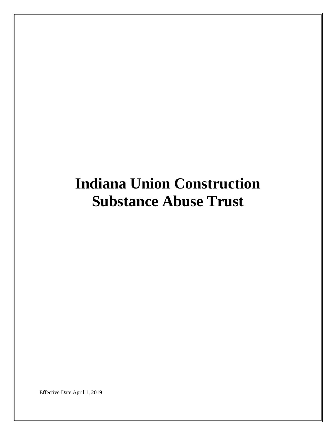# **Indiana Union Construction Substance Abuse Trust**

Effective Date April 1, 2019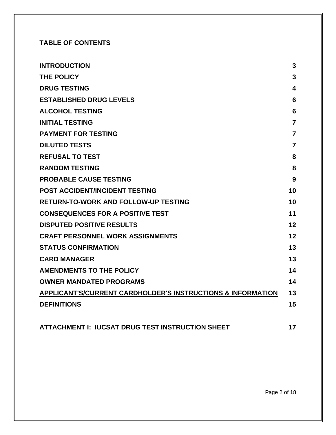# **TABLE OF CONTENTS**

| <b>INTRODUCTION</b>                                                    | 3                       |
|------------------------------------------------------------------------|-------------------------|
| <b>THE POLICY</b>                                                      | 3                       |
| <b>DRUG TESTING</b>                                                    | $\overline{\mathbf{4}}$ |
| <b>ESTABLISHED DRUG LEVELS</b>                                         | 6                       |
| <b>ALCOHOL TESTING</b>                                                 | $6\phantom{1}6$         |
| <b>INITIAL TESTING</b>                                                 | $\overline{7}$          |
| <b>PAYMENT FOR TESTING</b>                                             | $\overline{7}$          |
| <b>DILUTED TESTS</b>                                                   | $\overline{7}$          |
| <b>REFUSAL TO TEST</b>                                                 | 8                       |
| <b>RANDOM TESTING</b>                                                  | 8                       |
| <b>PROBABLE CAUSE TESTING</b>                                          | 9                       |
| <b>POST ACCIDENT/INCIDENT TESTING</b>                                  | 10                      |
| <b>RETURN-TO-WORK AND FOLLOW-UP TESTING</b>                            | 10                      |
| <b>CONSEQUENCES FOR A POSITIVE TEST</b>                                | 11                      |
| <b>DISPUTED POSITIVE RESULTS</b>                                       | 12                      |
| <b>CRAFT PERSONNEL WORK ASSIGNMENTS</b>                                | 12                      |
| <b>STATUS CONFIRMATION</b>                                             | 13                      |
| <b>CARD MANAGER</b>                                                    | 13                      |
| <b>AMENDMENTS TO THE POLICY</b>                                        | 14                      |
| <b>OWNER MANDATED PROGRAMS</b>                                         | 14                      |
| <b>APPLICANT'S/CURRENT CARDHOLDER'S INSTRUCTIONS &amp; INFORMATION</b> | 13                      |
| <b>DEFINITIONS</b>                                                     | 15                      |
|                                                                        |                         |
|                                                                        |                         |

**ATTACHMENT I: IUCSAT DRUG TEST INSTRUCTION SHEET 17**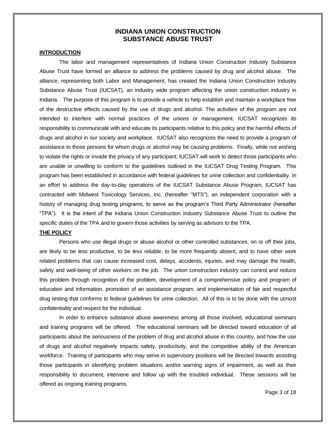## **INDIANA UNION CONSTRUCTION SUBSTANCE ABUSE TRUST**

#### **INTRODUCTION**

The labor and management representatives of Indiana Union Construction Industry Substance Abuse Trust have formed an alliance to address the problems caused by drug and alcohol abuse. The alliance, representing both Labor and Management, has created the Indiana Union Construction Industry Substance Abuse Trust (IUCSAT), an industry wide program affecting the union construction industry in Indiana. The purpose of this program is to provide a vehicle to help establish and maintain a workplace free of the destructive effects caused by the use of drugs and alcohol. The activities of the program are not intended to interfere with normal practices of the unions or management. IUCSAT recognizes its responsibility to communicate with and educate its participants relative to this policy and the harmful effects of drugs and alcohol in our society and workplace. IUCSAT also recognizes the need to provide a program of assistance to those persons for whom drugs or alcohol may be causing problems. Finally, while not wishing to violate the rights or invade the privacy of any participant, IUCSAT will work to detect those participants who are unable or unwilling to conform to the guidelines outlined in the IUCSAT Drug Testing Program. This program has been established in accordance with federal guidelines for urine collection and confidentiality. In an effort to address the day-to-day operations of the IUCSAT Substance Abuse Program, IUCSAT has contracted with Midwest Toxicology Services, Inc. (hereafter "MTS"), an independent corporation with a history of managing drug testing programs, to serve as the program's Third Party Administrator (hereafter "TPA"). It is the intent of the Indiana Union Construction Industry Substance Abuse Trust to outline the specific duties of the TPA and to govern those activities by serving as advisors to the TPA.

#### **THE POLICY**

Persons who use illegal drugs or abuse alcohol or other controlled substances, on or off their jobs, are likely to be less productive, to be less reliable, to be more frequently absent, and to have other work related problems that can cause increased cost, delays, accidents, injuries, and may damage the health, safety and well-being of other workers on the job. The union construction industry can control and reduce this problem through recognition of the problem, development of a comprehensive policy and program of education and information, promotion of an assistance program, and implementation of fair and respectful drug testing that conforms to federal guidelines for urine collection. All of this is to be done with the utmost confidentiality and respect for the individual.

In order to enhance substance abuse awareness among all those involved, educational seminars and training programs will be offered. The educational seminars will be directed toward education of all participants about the seriousness of the problem of drug and alcohol abuse in this country, and how the use of drugs and alcohol negatively impacts safety, productivity, and the competitive ability of the American workforce. Training of participants who may serve in supervisory positions will be directed towards assisting those participants in identifying problem situations and/or warning signs of impairment, as well as their responsibility to document, intervene and follow up with the troubled individual. These sessions will be offered as ongoing training programs.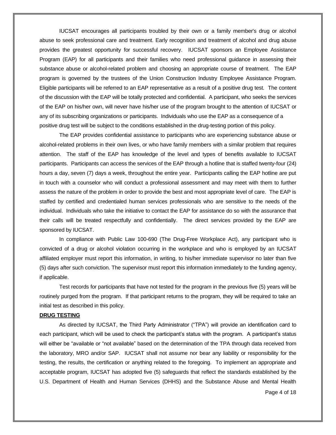IUCSAT encourages all participants troubled by their own or a family member's drug or alcohol abuse to seek professional care and treatment. Early recognition and treatment of alcohol and drug abuse provides the greatest opportunity for successful recovery. IUCSAT sponsors an Employee Assistance Program (EAP) for all participants and their families who need professional guidance in assessing their substance abuse or alcohol-related problem and choosing an appropriate course of treatment. The EAP program is governed by the trustees of the Union Construction Industry Employee Assistance Program. Eligible participants will be referred to an EAP representative as a result of a positive drug test. The content of the discussion with the EAP will be totally protected and confidential. A participant, who seeks the services of the EAP on his/her own, will never have his/her use of the program brought to the attention of IUCSAT or any of its subscribing organizations or participants. Individuals who use the EAP as a consequence of a positive drug test will be subject to the conditions established in the drug-testing portion of this policy.

The EAP provides confidential assistance to participants who are experiencing substance abuse or alcohol-related problems in their own lives, or who have family members with a similar problem that requires attention. The staff of the EAP has knowledge of the level and types of benefits available to IUCSAT participants. Participants can access the services of the EAP through a hotline that is staffed twenty-four (24) hours a day, seven (7) days a week, throughout the entire year. Participants calling the EAP hotline are put in touch with a counselor who will conduct a professional assessment and may meet with them to further assess the nature of the problem in order to provide the best and most appropriate level of care. The EAP is staffed by certified and credentialed human services professionals who are sensitive to the needs of the individual. Individuals who take the initiative to contact the EAP for assistance do so with the assurance that their calls will be treated respectfully and confidentially. The direct services provided by the EAP are sponsored by IUCSAT.

In compliance with Public Law 100-690 (The Drug-Free Workplace Act), any participant who is convicted of a drug or alcohol violation occurring in the workplace and who is employed by an IUCSAT affiliated employer must report this information, in writing, to his/her immediate supervisor no later than five (5) days after such conviction. The supervisor must report this information immediately to the funding agency, if applicable.

Test records for participants that have not tested for the program in the previous five (5) years will be routinely purged from the program. If that participant returns to the program, they will be required to take an initial test as described in this policy.

#### **DRUG TESTING**

As directed by IUCSAT, the Third Party Administrator ("TPA") will provide an identification card to each participant, which will be used to check the participant's status with the program. A participant's status will either be "available or "not available" based on the determination of the TPA through data received from the laboratory, MRO and/or SAP. IUCSAT shall not assume nor bear any liability or responsibility for the testing, the results, the certification or anything related to the foregoing. To implement an appropriate and acceptable program, IUCSAT has adopted five (5) safeguards that reflect the standards established by the U.S. Department of Health and Human Services (DHHS) and the Substance Abuse and Mental Health

Page 4 of 18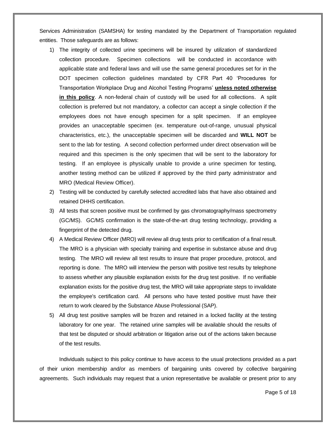Services Administration (SAMSHA) for testing mandated by the Department of Transportation regulated entities. Those safeguards are as follows:

- 1) The integrity of collected urine specimens will be insured by utilization of standardized collection procedure. Specimen collections will be conducted in accordance with applicable state and federal laws and will use the same general procedures set for in the DOT specimen collection guidelines mandated by CFR Part 40 'Procedures for Transportation Workplace Drug and Alcohol Testing Programs' **unless noted otherwise in this policy**. A non-federal chain of custody will be used for all collections. A split collection is preferred but not mandatory, a collector can accept a single collection if the employees does not have enough specimen for a split specimen. If an employee provides an unacceptable specimen (ex. temperature out-of-range, unusual physical characteristics, etc.), the unacceptable specimen will be discarded and **WILL NOT** be sent to the lab for testing. A second collection performed under direct observation will be required and this specimen is the only specimen that will be sent to the laboratory for testing. If an employee is physically unable to provide a urine specimen for testing, another testing method can be utilized if approved by the third party administrator and MRO (Medical Review Officer).
- 2) Testing will be conducted by carefully selected accredited labs that have also obtained and retained DHHS certification.
- 3) All tests that screen positive must be confirmed by gas chromatography/mass spectrometry (GC/MS). GC/MS confirmation is the state-of-the-art drug testing technology, providing a fingerprint of the detected drug.
- 4) A Medical Review Officer (MRO) will review all drug tests prior to certification of a final result. The MRO is a physician with specialty training and expertise in substance abuse and drug testing. The MRO will review all test results to insure that proper procedure, protocol, and reporting is done. The MRO will interview the person with positive test results by telephone to assess whether any plausible explanation exists for the drug test positive. If no verifiable explanation exists for the positive drug test, the MRO will take appropriate steps to invalidate the employee's certification card. All persons who have tested positive must have their return to work cleared by the Substance Abuse Professional (SAP).
- 5) All drug test positive samples will be frozen and retained in a locked facility at the testing laboratory for one year. The retained urine samples will be available should the results of that test be disputed or should arbitration or litigation arise out of the actions taken because of the test results.

Individuals subject to this policy continue to have access to the usual protections provided as a part of their union membership and/or as members of bargaining units covered by collective bargaining agreements. Such individuals may request that a union representative be available or present prior to any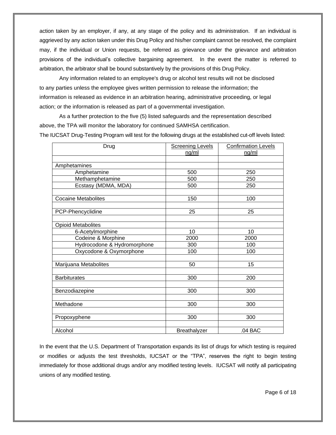action taken by an employer, if any, at any stage of the policy and its administration. If an individual is aggrieved by any action taken under this Drug Policy and his/her complaint cannot be resolved, the complaint may, if the individual or Union requests, be referred as grievance under the grievance and arbitration provisions of the individual's collective bargaining agreement. In the event the matter is referred to arbitration, the arbitrator shall be bound substantively by the provisions of this Drug Policy.

Any information related to an employee's drug or alcohol test results will not be disclosed to any parties unless the employee gives written permission to release the information; the information is released as evidence in an arbitration hearing, administrative proceeding, or legal action; or the information is released as part of a governmental investigation.

As a further protection to the five (5) listed safeguards and the representation described above, the TPA will monitor the laboratory for continued SAMHSA certification. The IUCSAT Drug-Testing Program will test for the following drugs at the established cut-off levels listed:

| Drug                        | <b>Screening Levels</b> | <b>Confirmation Levels</b> |
|-----------------------------|-------------------------|----------------------------|
|                             | nq/ml                   | nq/ml                      |
|                             |                         |                            |
| Amphetamines                |                         |                            |
| Amphetamine                 | 500                     | 250                        |
| Methamphetamine             | 500                     | 250                        |
| Ecstasy (MDMA, MDA)         | 500                     | 250                        |
|                             |                         |                            |
| <b>Cocaine Metabolites</b>  | 150                     | 100                        |
|                             |                         |                            |
| PCP-Phencyclidine           | 25                      | 25                         |
|                             |                         |                            |
| <b>Opioid Metabolites</b>   |                         |                            |
| 6-Acetylmorphine            | 10                      | 10                         |
| Codeine & Morphine          | 2000                    | 2000                       |
| Hydrocodone & Hydromorphone | 300                     | 100                        |
| Oxycodone & Oxymorphone     | 100                     | 100                        |
|                             |                         |                            |
| Marijuana Metabolites       | 50                      | 15                         |
|                             |                         |                            |
| <b>Barbiturates</b>         | 300                     | 200                        |
|                             |                         |                            |
| Benzodiazepine              | 300                     | 300                        |
|                             |                         |                            |
| Methadone                   | 300                     | 300                        |
|                             |                         |                            |
| Propoxyphene                | 300                     | 300                        |
|                             |                         |                            |
| Alcohol                     | <b>Breathalyzer</b>     | .04 BAC                    |

In the event that the U.S. Department of Transportation expands its list of drugs for which testing is required or modifies or adjusts the test thresholds, IUCSAT or the "TPA", reserves the right to begin testing immediately for those additional drugs and/or any modified testing levels. IUCSAT will notify all participating unions of any modified testing.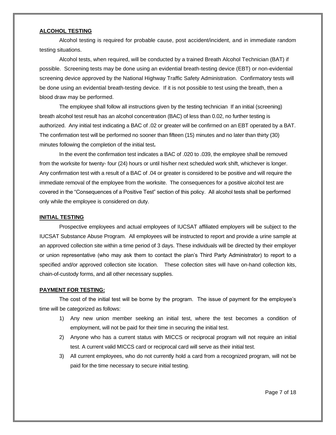#### **ALCOHOL TESTING**

Alcohol testing is required for probable cause, post accident/incident, and in immediate random testing situations.

Alcohol tests, when required, will be conducted by a trained Breath Alcohol Technician (BAT) if possible. Screening tests may be done using an evidential breath-testing device (EBT) or non-evidential screening device approved by the National Highway Traffic Safety Administration. Confirmatory tests will be done using an evidential breath-testing device. If it is not possible to test using the breath, then a blood draw may be performed.

The employee shall follow all instructions given by the testing technician If an initial (screening) breath alcohol test result has an alcohol concentration (BAC) of less than 0.02, no further testing is authorized. Any initial test indicating a BAC of .02 or greater will be confirmed on an EBT operated by a BAT. The confirmation test will be performed no sooner than fifteen (15) minutes and no later than thirty (30) minutes following the completion of the initial test**.** 

In the event the confirmation test indicates a BAC of .020 to .039, the employee shall be removed from the worksite for twenty- four (24) hours or until his/her next scheduled work shift, whichever is longer. Any confirmation test with a result of a BAC of .04 or greater is considered to be positive and will require the immediate removal of the employee from the worksite. The consequences for a positive alcohol test are covered in the "Consequences of a Positive Test" section of this policy. All alcohol tests shall be performed only while the employee is considered on duty.

#### **INITIAL TESTING**

Prospective employees and actual employees of IUCSAT affiliated employers will be subject to the IUCSAT Substance Abuse Program. All employees will be instructed to report and provide a urine sample at an approved collection site within a time period of 3 days. These individuals will be directed by their employer or union representative (who may ask them to contact the plan's Third Party Administrator) to report to a specified and/or approved collection site location. These collection sites will have on-hand collection kits, chain-of-custody forms, and all other necessary supplies.

#### **PAYMENT FOR TESTING:**

The cost of the initial test will be borne by the program. The issue of payment for the employee's time will be categorized as follows:

- 1) Any new union member seeking an initial test, where the test becomes a condition of employment, will not be paid for their time in securing the initial test.
- 2) Anyone who has a current status with MICCS or reciprocal program will not require an initial test. A current valid MICCS card or reciprocal card will serve as their initial test.
- 3) All current employees, who do not currently hold a card from a recognized program, will not be paid for the time necessary to secure initial testing.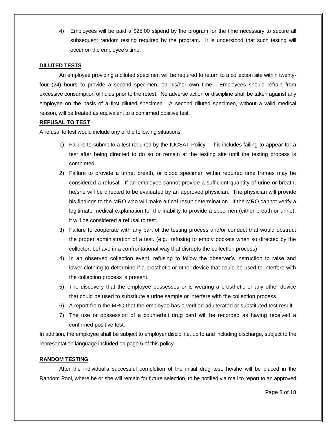4) Employees will be paid a \$25.00 stipend by the program for the time necessary to secure all subsequent random testing required by the program. It is understood that such testing will occur on the employee's time.

#### **DILUTED TESTS**

An employee providing a diluted specimen will be required to return to a collection site within twentyfour (24) hours to provide a second specimen, on his/her own time. Employees should refrain from excessive consumption of fluids prior to the retest. No adverse action or discipline shall be taken against any employee on the basis of a first diluted specimen. A second diluted specimen, without a valid medical reason, will be treated as equivalent to a confirmed positive test.

#### **REFUSAL TO TEST**

A refusal to test would include any of the following situations:

- 1) Failure to submit to a test required by the IUCSAT Policy. This includes failing to appear for a test after being directed to do so or remain at the testing site until the testing process is completed.
- 2) Failure to provide a urine, breath, or blood specimen within required time frames may be considered a refusal. If an employee cannot provide a sufficient quantity of urine or breath, he/she will be directed to be evaluated by an approved physician. The physician will provide his findings to the MRO who will make a final result determination. If the MRO cannot verify a legitimate medical explanation for the inability to provide a specimen (either breath or urine), it will be considered a refusal to test.
- 3) Failure to cooperate with any part of the testing process and/or conduct that would obstruct the proper administration of a test. (e.g., refusing to empty pockets when so directed by the collector, behave in a confrontational way that disrupts the collection process).
- 4) In an observed collection event, refusing to follow the observer's instruction to raise and lower clothing to determine if a prosthetic or other device that could be used to interfere with the collection process is present.
- 5) The discovery that the employee possesses or is wearing a prosthetic or any other device that could be used to substitute a urine sample or interfere with the collection process.
- 6) A report from the MRO that the employee has a verified adulterated or substituted test result.
- 7) The use or possession of a counterfeit drug card will be recorded as having received a confirmed positive test.

In addition, the employee shall be subject to employer discipline, up to and including discharge, subject to the representation language included on page 5 of this policy.

#### **RANDOM TESTING**

After the individual's successful completion of the initial drug test, he/she will be placed in the Random Pool, where he or she will remain for future selection, to be notified via mail to report to an approved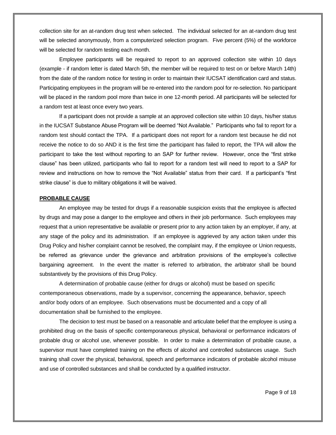collection site for an at-random drug test when selected. The individual selected for an at-random drug test will be selected anonymously, from a computerized selection program. Five percent (5%) of the workforce will be selected for random testing each month.

Employee participants will be required to report to an approved collection site within 10 days (example - if random letter is dated March 5th, the member will be required to test on or before March 14th) from the date of the random notice for testing in order to maintain their IUCSAT identification card and status. Participating employees in the program will be re-entered into the random pool for re-selection. No participant will be placed in the random pool more than twice in one 12-month period. All participants will be selected for a random test at least once every two years.

If a participant does not provide a sample at an approved collection site within 10 days, his/her status in the IUCSAT Substance Abuse Program will be deemed "Not Available." Participants who fail to report for a random test should contact the TPA. If a participant does not report for a random test because he did not receive the notice to do so AND it is the first time the participant has failed to report, the TPA will allow the participant to take the test without reporting to an SAP for further review. However, once the "first strike clause" has been utilized, participants who fail to report for a random test will need to report to a SAP for review and instructions on how to remove the "Not Available" status from their card. If a participant's "first strike clause" is due to military obligations it will be waived.

#### **PROBABLE CAUSE**

 An employee may be tested for drugs if a reasonable suspicion exists that the employee is affected by drugs and may pose a danger to the employee and others in their job performance. Such employees may request that a union representative be available or present prior to any action taken by an employer, if any, at any stage of the policy and its administration. If an employee is aggrieved by any action taken under this Drug Policy and his/her complaint cannot be resolved, the complaint may, if the employee or Union requests, be referred as grievance under the grievance and arbitration provisions of the employee's collective bargaining agreement. In the event the matter is referred to arbitration, the arbitrator shall be bound substantively by the provisions of this Drug Policy.

A determination of probable cause (either for drugs or alcohol) must be based on specific contemporaneous observations, made by a supervisor, concerning the appearance, behavior, speech and/or body odors of an employee. Such observations must be documented and a copy of all documentation shall be furnished to the employee.

The decision to test must be based on a reasonable and articulate belief that the employee is using a prohibited drug on the basis of specific contemporaneous physical, behavioral or performance indicators of probable drug or alcohol use, whenever possible. In order to make a determination of probable cause, a supervisor must have completed training on the effects of alcohol and controlled substances usage. Such training shall cover the physical, behavioral, speech and performance indicators of probable alcohol misuse and use of controlled substances and shall be conducted by a qualified instructor.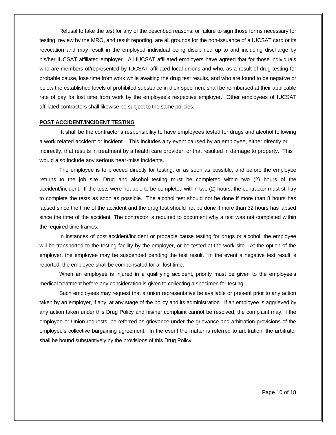Refusal to take the test for any of the described reasons, or failure to sign those forms necessary for testing, review by the MRO, and result reporting, are all grounds for the non-issuance of a IUCSAT card or its revocation and may result in the employed individual being disciplined up to and including discharge by his/her IUCSAT affiliated employer. All IUCSAT affiliated employers have agreed that for those individuals who are members of/represented by IUCSAT affiliated local unions and who, as a result of drug testing for probable cause, lose time from work while awaiting the drug test results, and who are found to be negative or below the established levels of prohibited substance in their specimen, shall be reimbursed at their applicable rate of pay for lost time from work by the employee's respective employer. Other employees of IUCSAT affiliated contractors shall likewise be subject to the same policies.

#### **POST ACCIDENT/INCIDENT TESTING**

It shall be the contractor's responsibility to have employees tested for drugs and alcohol following a work related accident or incident. This includes any event caused by an employee, either directly or indirectly, that results in treatment by a health care provider, or that resulted in damage to property. This would also include any serious near-miss incidents.

The employee is to proceed directly for testing, or as soon as possible, and before the employee returns to the job site. Drug and alcohol testing must be completed within two (2) hours of the accident/incident. If the tests were not able to be completed within two (2) hours, the contractor must still try to complete the tests as soon as possible. The alcohol test should not be done if more than 8 hours has lapsed since the time of the accident and the drug test should not be done if more than 32 hours has lapsed since the time of the accident. The contractor is required to document why a test was not completed within the required time frames.

In instances of post accident/incident or probable cause testing for drugs or alcohol, the employee will be transported to the testing facility by the employer, or be tested at the work site. At the option of the employer, the employee may be suspended pending the test result. In the event a negative test result is reported, the employee shall be compensated for all lost time.

When an employee is injured in a qualifying accident, priority must be given to the employee's medical treatment before any consideration is given to collecting a specimen for testing.

Such employees may request that a union representative be available or present prior to any action taken by an employer, if any, at any stage of the policy and its administration. If an employee is aggrieved by any action taken under this Drug Policy and his/her complaint cannot be resolved, the complaint may, if the employee or Union requests, be referred as grievance under the grievance and arbitration provisions of the employee's collective bargaining agreement. In the event the matter is referred to arbitration, the arbitrator shall be bound substantively by the provisions of this Drug Policy.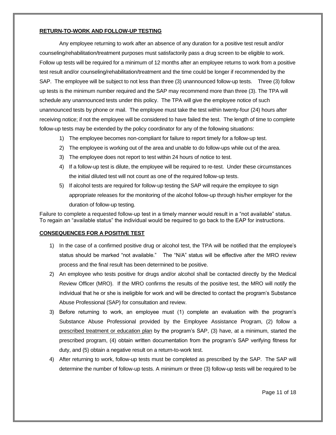## **RETURN-TO-WORK AND FOLLOW-UP TESTING**

Any employee returning to work after an absence of any duration for a positive test result and/or counseling/rehabilitation/treatment purposes must satisfactorily pass a drug screen to be eligible to work. Follow up tests will be required for a minimum of 12 months after an employee returns to work from a positive test result and/or counseling/rehabilitation/treatment and the time could be longer if recommended by the SAP. The employee will be subject to not less than three (3) unannounced follow-up tests. Three (3) follow up tests is the minimum number required and the SAP may recommend more than three (3). The TPA will schedule any unannounced tests under this policy. The TPA will give the employee notice of such unannounced tests by phone or mail. The employee must take the test within twenty-four (24) hours after receiving notice; if not the employee will be considered to have failed the test. The length of time to complete follow-up tests may be extended by the policy coordinator for any of the following situations:

- 1) The employee becomes non-compliant for failure to report timely for a follow-up test.
- 2) The employee is working out of the area and unable to do follow-ups while out of the area.
- 3) The employee does not report to test within 24 hours of notice to test.
- 4) If a follow-up test is dilute, the employee will be required to re-test. Under these circumstances the initial diluted test will not count as one of the required follow-up tests.
- 5) If alcohol tests are required for follow-up testing the SAP will require the employee to sign appropriate releases for the monitoring of the alcohol follow-up through his/her employer for the duration of follow-up testing.

Failure to complete a requested follow-up test in a timely manner would result in a "not available" status. To regain an "available status" the individual would be required to go back to the EAP for instructions.

## **CONSEQUENCES FOR A POSITIVE TEST**

- 1) In the case of a confirmed positive drug or alcohol test, the TPA will be notified that the employee's status should be marked "not available." The "N/A" status will be effective after the MRO review process and the final result has been determined to be positive.
- 2) An employee who tests positive for drugs and/or alcohol shall be contacted directly by the Medical Review Officer (MRO). If the MRO confirms the results of the positive test, the MRO will notify the individual that he or she is ineligible for work and will be directed to contact the program's Substance Abuse Professional (SAP) for consultation and review.
- 3) Before returning to work, an employee must (1) complete an evaluation with the program's Substance Abuse Professional provided by the Employee Assistance Program, (2) follow a prescribed treatment or education plan by the program's SAP, (3) have, at a minimum, started the prescribed program, (4) obtain written documentation from the program's SAP verifying fitness for duty, and (5) obtain a negative result on a return-to-work test.
- 4) After returning to work, follow-up tests must be completed as prescribed by the SAP. The SAP will determine the number of follow-up tests. A minimum or three (3) follow-up tests will be required to be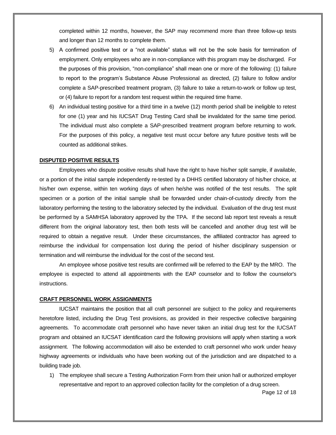completed within 12 months, however, the SAP may recommend more than three follow-up tests and longer than 12 months to complete them.

- 5) A confirmed positive test or a "not available" status will not be the sole basis for termination of employment. Only employees who are in non-compliance with this program may be discharged. For the purposes of this provision, "non-compliance" shall mean one or more of the following: (1) failure to report to the program's Substance Abuse Professional as directed, (2) failure to follow and/or complete a SAP-prescribed treatment program, (3) failure to take a return-to-work or follow up test, or (4) failure to report for a random test request within the required time frame.
- 6) An individual testing positive for a third time in a twelve (12) month period shall be ineligible to retest for one (1) year and his IUCSAT Drug Testing Card shall be invalidated for the same time period. The individual must also complete a SAP-prescribed treatment program before returning to work. For the purposes of this policy, a negative test must occur before any future positive tests will be counted as additional strikes.

## <span id="page-11-0"></span>**DISPUTED POSITIVE RESULTS**

Employees who dispute positive results shall have the right to have his/her split sample, if available, or a portion of the initial sample independently re-tested by a DHHS certified laboratory of his/her choice, at his/her own expense, within ten working days of when he/she was notified of the test results. The split specimen or a portion of the initial sample shall be forwarded under chain-of-custody directly from the laboratory performing the testing to the laboratory selected by the individual. Evaluation of the drug test must be performed by a SAMHSA laboratory approved by the TPA. If the second lab report test reveals a result different from the original laboratory test, then both tests will be cancelled and another drug test will be required to obtain a negative result. Under these circumstances, the affiliated contractor has agreed to reimburse the individual for compensation lost during the period of his/her disciplinary suspension or termination and will reimburse the individual for the cost of the second test.

An employee whose positive test results are confirmed will be referred to the EAP by the MRO. The employee is expected to attend all appointments with the EAP counselor and to follow the counselor's instructions.

#### **CRAFT PERSONNEL WORK ASSIGNMENTS**

IUCSAT maintains the position that all craft personnel are subject to the policy and requirements heretofore listed, including the Drug Test provisions, as provided in their respective collective bargaining agreements*.* To accommodate craft personnel who have never taken an initial drug test for the IUCSAT program and obtained an IUCSAT identification card the following provisions will apply when starting a work assignment. The following accommodation will also be extended to craft personnel who work under heavy highway agreements or individuals who have been working out of the jurisdiction and are dispatched to a building trade job.

1) The employee shall secure a Testing Authorization Form from their union hall or authorized employer representative and report to an approved collection facility for the completion of a drug screen.

Page 12 of 18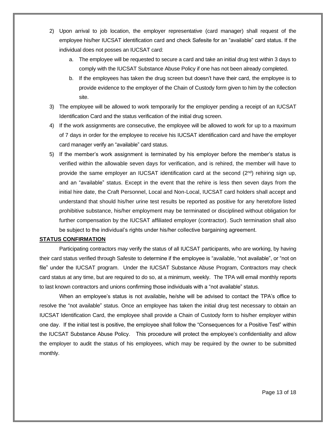- 2) Upon arrival to job location, the employer representative (card manager) shall request of the employee his/her IUCSAT identification card and check Safesite for an "available" card status. If the individual does not posses an IUCSAT card:
	- a. The employee will be requested to secure a card and take an initial drug test within 3 days to comply with the IUCSAT Substance Abuse Policy if one has not been already completed.
	- b. If the employees has taken the drug screen but doesn't have their card, the employee is to provide evidence to the employer of the Chain of Custody form given to him by the collection site.
- 3) The employee will be allowed to work temporarily for the employer pending a receipt of an IUCSAT Identification Card and the status verification of the initial drug screen.
- 4) If the work assignments are consecutive, the employee will be allowed to work for up to a maximum of 7 days in order for the employee to receive his IUCSAT identification card and have the employer card manager verify an "available" card status.
- 5) If the member's work assignment is terminated by his employer before the member's status is verified within the allowable seven days for verification, and is rehired, the member will have to provide the same employer an IUCSAT identification card at the second  $(2^{nd})$  rehiring sign up, and an "available" status. Except in the event that the rehire is less then seven days from the initial hire date, the Craft Personnel, Local and Non-Local, IUCSAT card holders shall accept and understand that should his/her urine test results be reported as positive for any heretofore listed prohibitive substance, his/her employment may be terminated or disciplined without obligation for further compensation by the IUCSAT affiliated employer (contractor). Such termination shall also be subject to the individual's rights under his/her collective bargaining agreement.

#### **STATUS CONFIRMATION**

Participating contractors may verify the status of all IUCSAT participants, who are working, by having their card status verified through Safesite to determine if the employee is "available, "not available", or "not on file" under the IUCSAT program. Under the IUCSAT Substance Abuse Program, Contractors may check card status at any time, but are required to do so, at a minimum, weekly. The TPA will email monthly reports to last known contractors and unions confirming those individuals with a "not available" status.

When an employee's status is not available**,** he/she will be advised to contact the TPA's office to resolve the "not available" status. Once an employee has taken the initial drug test necessary to obtain an IUCSAT Identification Card, the employee shall provide a Chain of Custody form to his/her employer within one day. If the initial test is positive, the employee shall follow the "Consequences for a Positive Test" within the IUCSAT Substance Abuse Policy. This procedure will protect the employee's confidentiality and allow the employer to audit the status of his employees, which may be required by the owner to be submitted monthly.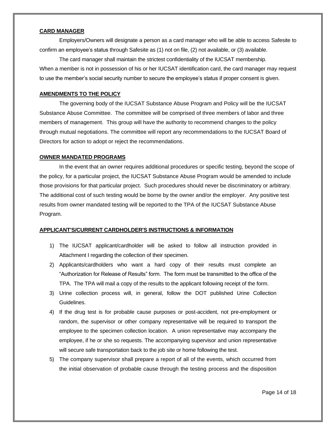### **CARD MANAGER**

Employers/Owners will designate a person as a card manager who will be able to access Safesite to confirm an employee's status through Safesite as (1) not on file, (2) not available, or (3) available.

The card manager shall maintain the strictest confidentiality of the IUCSAT membership. When a member is not in possession of his or her IUCSAT identification card, the card manager may request to use the member's social security number to secure the employee's status if proper consent is given.

#### **AMENDMENTS TO THE POLICY**

The governing body of the IUCSAT Substance Abuse Program and Policy will be the IUCSAT Substance Abuse Committee. The committee will be comprised of three members of labor and three members of management. This group will have the authority to recommend changes to the policy through mutual negotiations. The committee will report any recommendations to the IUCSAT Board of Directors for action to adopt or reject the recommendations.

#### <span id="page-13-0"></span>**OWNER MANDATED PROGRAMS**

In the event that an owner requires additional procedures or specific testing, beyond the scope of the policy, for a particular project, the IUCSAT Substance Abuse Program would be amended to include those provisions for that particular project. Such procedures should never be discriminatory or arbitrary. The additional cost of such testing would be borne by the owner and/or the employer. Any positive test results from owner mandated testing will be reported to the TPA of the IUCSAT Substance Abuse Program.

## **APPLICANT'S/CURRENT CARDHOLDER'S INSTRUCTIONS & INFORMATION**

- 1) The IUCSAT applicant/cardholder will be asked to follow all instruction provided in Attachment I regarding the collection of their specimen.
- 2) Applicants/cardholders who want a hard copy of their results must complete an "Authorization for Release of Results" form. The form must be transmitted to the office of the TPA. The TPA will mail a copy of the results to the applicant following receipt of the form.
- 3) Urine collection process will, in general, follow the DOT published Urine Collection Guidelines.
- 4) If the drug test is for probable cause purposes or post-accident, not pre-employment or random, the supervisor or other company representative will be required to transport the employee to the specimen collection location. A union representative may accompany the employee, if he or she so requests. The accompanying supervisor and union representative will secure safe transportation back to the job site or home following the test.
- 5) The company supervisor shall prepare a report of all of the events, which occurred from the initial observation of probable cause through the testing process and the disposition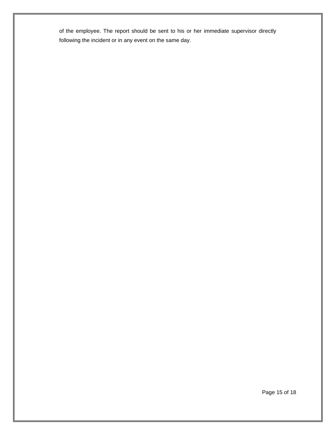of the employee. The report should be sent to his or her immediate supervisor directly following the incident or in any event on the same day.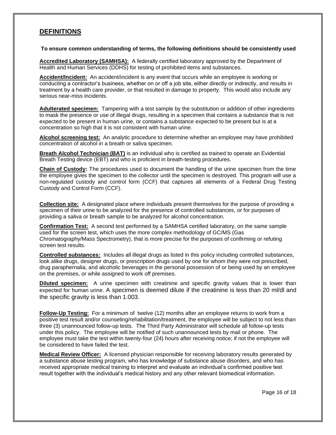# **DEFINITIONS**

## **To ensure common understanding of terms, the following definitions should be consistently used**

**Accredited Laboratory (SAMHSA):** A federally certified laboratory approved by the Department of Health and Human Services (DDHS) for testing of prohibited items and substances.

**Accident/Incident:** An accident/incident is any event that occurs while an employee is working or conducting a contractor's business, whether on or off a job site, either directly or indirectly, and results in treatment by a health care provider, or that resulted in damage to property. This would also include any serious near-miss incidents.

**Adulterated specimen:** Tampering with a test sample by the substitution or addition of other ingredients to mask the presence or use of illegal drugs, resulting in a specimen that contains a substance that is not expected to be present in human urine, or contains a substance expected to be present but is at a concentration so high that it is not consistent with human urine.

**Alcohol screening test:** An analytic procedure to determine whether an employee may have prohibited concentration of alcohol in a breath or saliva specimen.

**Breath Alcohol Technician (BAT)** is an individual who is certified as trained to operate an Evidential Breath Testing device (EBT) and who is proficient in breath-testing procedures.

**Chain of Custody:** The procedures used to document the handling of the urine specimen from the time the employee gives the specimen to the collector until the specimen is destroyed. This program will use a non-regulated custody and control form (CCF) that captures all elements of a Federal Drug Testing Custody and Control Form (CCF).

**Collection site:** A designated place where individuals present themselves for the purpose of providing a specimen of their urine to be analyzed for the presence of controlled substances, or for purposes of providing a saliva or breath sample to be analyzed for alcohol concentration.

**Confirmation Test:** A second test performed by a SAMHSA certified laboratory, on the same sample used for the screen test, which uses the more complex methodology of GC/MS (Gas Chromatography/Mass Spectrometry), that is more precise for the purposes of confirming or refuting screen test results.

**Controlled substances:** Includes all illegal drugs as listed in this policy including controlled substances, look alike drugs, designer drugs, or prescription drugs used by one for whom they were not prescribed, drug paraphernalia, and alcoholic beverages in the personal possession of or being used by an employee on the premises, or while assigned to work off premises.

**Diluted specimen:** A urine specimen with creatinine and specific gravity values that is lower than expected for human urine. A specimen is deemed dilute if the creatinine is less than 20 ml/dl and the specific gravity is less than 1.003.

**Follow-Up Testing:** For a minimum of twelve (12) months after an employee returns to work from a positive test result and/or counseling/rehabilitation/treatment, the employee will be subject to not less than three (3) unannounced follow-up tests. The Third Party Administrator will schedule all follow-up tests under this policy. The employee will be notified of such unannounced tests by mail or phone. The employee must take the test within twenty-four (24) hours after receiving notice; if not the employee will be considered to have failed the test.

**Medical Review Officer:** A licensed physician responsible for receiving laboratory results generated by a substance abuse testing program, who has knowledge of substance abuse disorders, and who has received appropriate medical training to interpret and evaluate an individual's confirmed positive test result together with the individual's medical history and any other relevant biomedical information.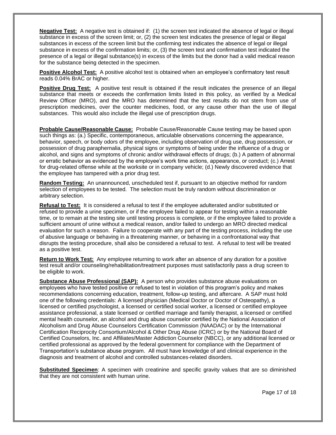**Negative Test:** A negative test is obtained if: (1) the screen test indicated the absence of legal or illegal substance in excess of the screen limit; or, (2) the screen test indicates the presence of legal or illegal substances in excess of the screen limit but the confirming test indicates the absence of legal or illegal substance in excess of the confirmation limits; or, (3) the screen test and confirmation test indicated the presence of a legal or illegal substance(s) in excess of the limits but the donor had a valid medical reason for the substance being detected in the specimen.

**Positive Alcohol Test:** A positive alcohol test is obtained when an employee's confirmatory test result reads 0.04% BrAC or higher.

**Positive Drug Test:** A positive test result is obtained if the result indicates the presence of an illegal substance that meets or exceeds the confirmation limits listed in this policy, as verified by a Medical Review Officer (MRO), and the MRO has determined that the test results do not stem from use of prescription medicines, over the counter medicines, food, or any cause other than the use of illegal substances. This would also include the illegal use of prescription drugs.

**Probable Cause/Reasonable Cause:** Probable Cause/Reasonable Cause testing may be based upon such things as: (a.) Specific, contemporaneous, articulable observations concerning the appearance, behavior, speech, or body odors of the employee, including observation of drug use, drug possession, or possession of drug paraphernalia, physical signs or symptoms of being under the influence of a drug or alcohol, and signs and symptoms of chronic and/or withdrawal effects of drugs; (b.) A pattern of abnormal or erratic behavior as evidenced by the employee's work time actions, appearance, or conduct; (c.) Arrest for drug-related offense while at the worksite or in company vehicle; (d.) Newly discovered evidence that the employee has tampered with a prior drug test.

**Random Testing:** An unannounced, unscheduled test if, pursuant to an objective method for random selection of employees to be tested. The selection must be truly random without discrimination or arbitrary selection.

**Refusal to Test:** It is considered a refusal to test if the employee adulterated and/or substituted or refused to provide a urine specimen, or if the employee failed to appear for testing within a reasonable time, or to remain at the testing site until testing process is complete, or if the employee failed to provide a sufficient amount of urine without a medical reason, and/or failed to undergo an MRO directed medical evaluation for such a reason. Failure to cooperate with any part of the testing process, including the use of abusive language or behaving in a threatening manner, or behaving in a confrontational way that disrupts the testing procedure, shall also be considered a refusal to test. A refusal to test will be treated as a positive test.

**Return to Work Test:** Any employee returning to work after an absence of any duration for a positive test result and/or counseling/rehabilitation/treatment purposes must satisfactorily pass a drug screen to be eligible to work.

**Substance Abuse Professional (SAP):** A person who provides substance abuse evaluations on employees who have tested positive or refused to test in violation of this program's policy and makes recommendations concerning education, treatment, follow-up testing, and aftercare. A SAP must hold one of the following credentials: A licensed physician (Medical Doctor or Doctor of Osteopathy), a licensed or certified psychologist, a licensed or certified social worker, a licensed or certified employee assistance professional, a state licensed or certified marriage and family therapist, a licensed or certified mental health counselor, an alcohol and drug abuse counselor certified by the National Association of Alcoholism and Drug Abuse Counselors Certification Commission (NAADAC) or by the International Certification Reciprocity Consortium/Alcohol & Other Drug Abuse (ICRC) or by the National Board of Certified Counselors, Inc. and Affiliates/Master Addiction Counselor (NBCC), or any additional licensed or certified professional as approved by the federal government for compliance with the Department of Transportation's substance abuse program. All must have knowledge of and clinical experience in the diagnosis and treatment of alcohol and controlled substances-related disorders.

**Substituted Specimen**: A specimen with creatinine and specific gravity values that are so diminished that they are not consistent with human urine.